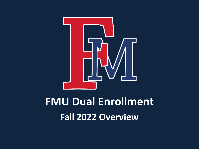

# **FMU Dual Enrollment Fall 2022 Overview**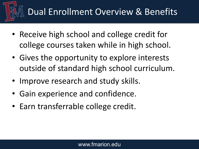## Dual Enrollment Overview & Benefits

- Receive high school and college credit for college courses taken while in high school.
- Gives the opportunity to explore interests outside of standard high school curriculum.
- Improve research and study skills.
- Gain experience and confidence.
- Earn transferrable college credit.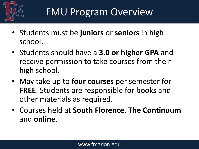

- Students must be **juniors** or **seniors** in high school.
- Students should have a **3.0 or higher GPA** and receive permission to take courses from their high school.
- May take up to **four courses** per semester for **FREE**. Students are responsible for books and other materials as required.
- Courses held at **South Florence**, **The Continuum**  and **online**.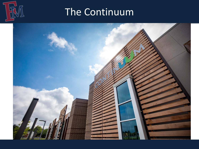

## The Continuum

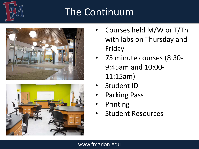## The Continuum





- Courses held M/W or T/Th with labs on Thursday and Friday
- 75 minute courses (8:30- 9:45am and 10:00- 11:15am)
- Student ID
- Parking Pass
- **Printing**
- Student Resources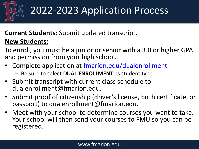

## 2022-2023 Application Process

## **Current Students:** Submit updated transcript.

### **New Students:**

To enroll, you must be a junior or senior with a 3.0 or higher GPA and permission from your high school.

- Complete application at [fmarion.edu/dualenrollment](http://www.fmarion.edu/dualenrollment)
	- Be sure to select **DUAL ENROLLMENT** as student type.
- Submit transcript with current class schedule to dualenrollment@fmarion.edu.
- Submit proof of citizenship (driver's license, birth certificate, or passport) to dualenrollment@fmarion.edu.
- Meet with your school to determine courses you want to take. Your school will then send your courses to FMU so you can be registered.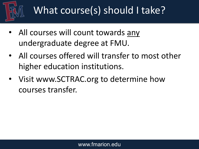

## What course(s) should I take?

- All courses will count towards any undergraduate degree at FMU.
- All courses offered will transfer to most other higher education institutions.
- Visit www.SCTRAC.org to determine how courses transfer.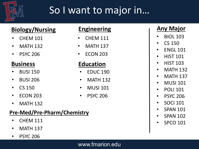

## So I want to major in…

### **Biology/Nursing**

- CHEM 101
- MATH 132
- PSYC 206

### **Business**

- BUSI 150
- BUSI 206
- CS 150
- ECON 203
- MATH 132

### **Pre-Med/Pre-Pharm/Chemistry**

- CHEM 111
- MATH 137
- PSYC 206

### **Engineering**

- **CHEM 111**
- **MATH 137**
- ECON 203

### **Education**

- EDUC 190
- MATH 132
- MUSI 101
- PSYC 206

### **Any Major**

- BIOL 103
- CS 150
- FNGI 101
- HIST 101
- HIST 103
- MATH 132
- MATH 137
- MUSI 101
- POLI 101
- PSYC 206
- SOCI 101
- SPAN 101
- SPAN 102
- SPCO 101

#### www.fmarion.edu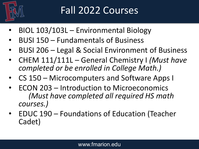

## Fall 2022 Courses

- BIOL 103/103L Environmental Biology
- BUSI 150 Fundamentals of Business
- BUSI 206 Legal & Social Environment of Business
- CHEM 111/111L General Chemistry I *(Must have completed or be enrolled in College Math.)*
- CS 150 Microcomputers and Software Apps I
- ECON 203 Introduction to Microeconomics *(Must have completed all required HS math courses.)*
- EDUC 190 Foundations of Education (Teacher Cadet)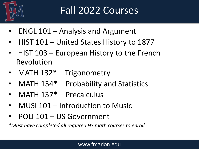

## Fall 2022 Courses

- ENGL 101 Analysis and Argument
- HIST 101 United States History to 1877
- HIST 103 European History to the French Revolution
- MATH 132<sup>\*</sup> Trigonometry
- MATH 134\* Probability and Statistics
- MATH 137<sup>\*</sup> Precalculus
- MUSI 101 Introduction to Music
- POLI 101 US Government

*\*Must have completed all required HS math courses to enroll.*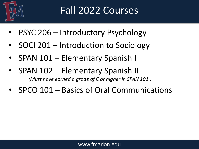

## Fall 2022 Courses

- PSYC 206 Introductory Psychology
- SOCI 201 Introduction to Sociology
- SPAN 101 Elementary Spanish I
- SPAN 102 Elementary Spanish II *(Must have earned a grade of C or higher in SPAN 101.)*
- SPCO 101 Basics of Oral Communications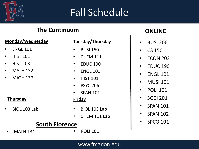

## Fall Schedule

### **The Continuum**

#### **Monday/Wednesday**

- ENGL 101
- HIST 101
- HIST 103
- **MATH 132**
- **MATH 137**

#### **Thursday**

• BIOL 103 Lab

#### **Tuesday/Thursday**

- BUSI 150
- CHEM 111
- EDUC 190
- ENGL 101
- HIST 101
- PSYC 206
- **SPAN 101**

#### **Friday**

- BIOL 103 Lab
- CHEM 111 Lab

### **South Florence**

- MATH 134 POLI 101
- 

### **ONLINE**

- BUSI 206
- CS 150
- ECON 203
- EDUC 190
- ENGL 101
- MUSI 101
- POLI 101
- SOCI 201
- SPAN 101
- SPAN 102
- SPCO 101

www.fmarion.edu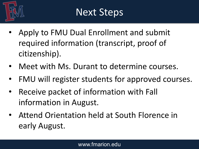

- Apply to FMU Dual Enrollment and submit required information (transcript, proof of citizenship).
- Meet with Ms. Durant to determine courses.
- FMU will register students for approved courses.
- Receive packet of information with Fall information in August.
- Attend Orientation held at South Florence in early August.